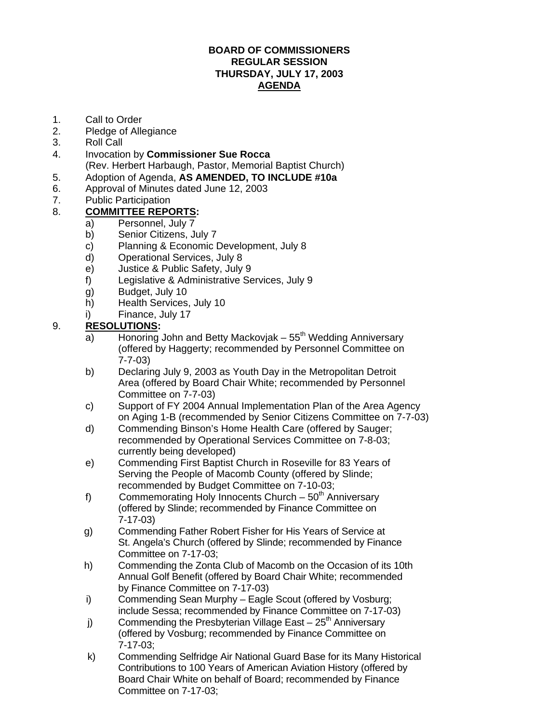#### **BOARD OF COMMISSIONERS REGULAR SESSION THURSDAY, JULY 17, 2003 AGENDA**

- 1. Call to Order
- 2. Pledge of Allegiance
- 3. Roll Call
- 4. Invocation by **Commissioner Sue Rocca** (Rev. Herbert Harbaugh, Pastor, Memorial Baptist Church)
- 5. Adoption of Agenda, **AS AMENDED, TO INCLUDE #10a**
- 6. Approval of Minutes dated June 12, 2003
- 7. Public Participation

### 8. **COMMITTEE REPORTS:**

- a) Personnel, July 7
- b) Senior Citizens, July 7
- c) Planning & Economic Development, July 8
- d) Operational Services, July 8
- e) Justice & Public Safety, July 9
- f) Legislative & Administrative Services, July 9
- g) Budget, July 10
- h) Health Services, July 10
- i) Finance, July 17

### 9. **RESOLUTIONS:**

- a) Honoring John and Betty Mackovjak  $55<sup>th</sup>$  Wedding Anniversary (offered by Haggerty; recommended by Personnel Committee on 7-7-03)
- b) Declaring July 9, 2003 as Youth Day in the Metropolitan Detroit Area (offered by Board Chair White; recommended by Personnel Committee on 7-7-03)
- c) Support of FY 2004 Annual Implementation Plan of the Area Agency on Aging 1-B (recommended by Senior Citizens Committee on 7-7-03)
- d) Commending Binson's Home Health Care (offered by Sauger; recommended by Operational Services Committee on 7-8-03; currently being developed)
- e) Commending First Baptist Church in Roseville for 83 Years of Serving the People of Macomb County (offered by Slinde; recommended by Budget Committee on 7-10-03;
- f) Commemorating Holy Innocents Church  $50<sup>th</sup>$  Anniversary (offered by Slinde; recommended by Finance Committee on 7-17-03)
- g) Commending Father Robert Fisher for His Years of Service at St. Angela's Church (offered by Slinde; recommended by Finance Committee on 7-17-03;
- h) Commending the Zonta Club of Macomb on the Occasion of its 10th Annual Golf Benefit (offered by Board Chair White; recommended by Finance Committee on 7-17-03)
- i) Commending Sean Murphy Eagle Scout (offered by Vosburg; include Sessa; recommended by Finance Committee on 7-17-03)
- j) Commending the Presbyterian Village East  $25<sup>th</sup>$  Anniversary (offered by Vosburg; recommended by Finance Committee on 7-17-03;
- k) Commending Selfridge Air National Guard Base for its Many Historical Contributions to 100 Years of American Aviation History (offered by Board Chair White on behalf of Board; recommended by Finance Committee on 7-17-03;